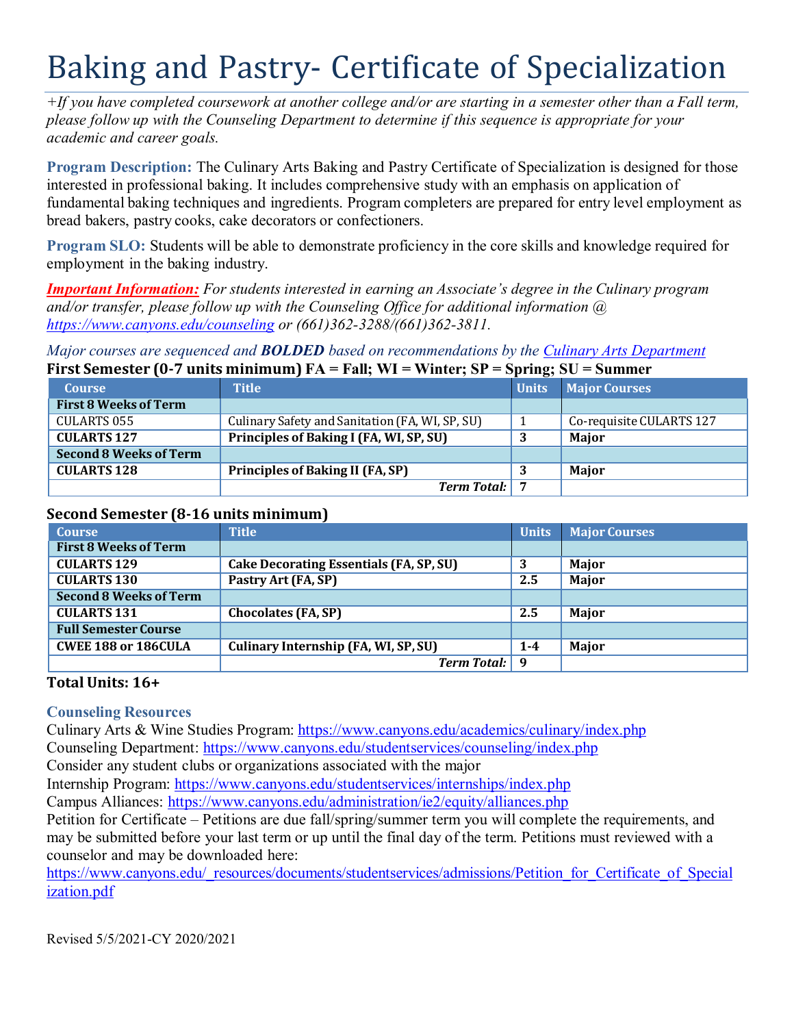# Baking and Pastry- Certificate of Specialization

 $+$ If you have completed coursework at another college and/or are starting in a semester other than a Fall term, *please follow up with the Counseling Department to determine if this sequence is appropriate for your academic and career goals.*

**Program Description:** The Culinary Arts Baking and Pastry Certificate of Specialization is designed for those interested in professional baking. It includes comprehensive study with an emphasis on application of fundamental baking techniques and ingredients. Program completers are prepared for entry level employment as bread bakers, pastry cooks, cake decorators or confectioners.

**Program SLO:** Students will be able to demonstrate proficiency in the core skills and knowledge required for employment in the baking industry.

*Important Information: For students interested in earning an Associate's degree in the Culinary program and/or transfer, please follow up with the Counseling Office for additional information @ https:/[/www.canyons.edu/counseling](http://www.canyons.edu/counseling) or (661)362-3288/(661)362-3811.*

#### *Major courses are sequenced and BOLDED based on recommendations by the Culinary Arts Department* **Figure Separator (0.7 units minimum)**  $FA =$  **Fall;**  $WI =$  **Winter;**  $SB =$  **Spring;**  $SI =$

| FIFSt Semester (0-7 units minimum) FA = Fall; WI = Winter; SP = Spring; SU = Summer |                                                 |              |                          |  |
|-------------------------------------------------------------------------------------|-------------------------------------------------|--------------|--------------------------|--|
| <b>Course</b>                                                                       | <b>Title</b>                                    | <b>Units</b> | <b>Major Courses</b>     |  |
| <b>First 8 Weeks of Term</b>                                                        |                                                 |              |                          |  |
| <b>CULARTS 055</b>                                                                  | Culinary Safety and Sanitation (FA, WI, SP, SU) |              | Co-requisite CULARTS 127 |  |
| <b>CULARTS 127</b>                                                                  | Principles of Baking I (FA, WI, SP, SU)         | 3            | Major                    |  |
| <b>Second 8 Weeks of Term</b>                                                       |                                                 |              |                          |  |
| <b>CULARTS 128</b>                                                                  | <b>Principles of Baking II (FA, SP)</b>         |              | <b>Maior</b>             |  |
|                                                                                     | <b>Term Total:</b> 7                            |              |                          |  |

# **Second Semester (8-16 units minimum)**

| <b>Course</b>                 | <b>Title</b>                                   | <b>Units</b> | <b>Major Courses</b> |
|-------------------------------|------------------------------------------------|--------------|----------------------|
| <b>First 8 Weeks of Term</b>  |                                                |              |                      |
| <b>CULARTS 129</b>            | <b>Cake Decorating Essentials (FA, SP, SU)</b> |              | Major                |
| <b>CULARTS 130</b>            | Pastry Art (FA, SP)                            | 2.5          | Major                |
| <b>Second 8 Weeks of Term</b> |                                                |              |                      |
| <b>CULARTS 131</b>            | <b>Chocolates (FA, SP)</b>                     | 2.5          | Major                |
| <b>Full Semester Course</b>   |                                                |              |                      |
| <b>CWEE 188 or 186CULA</b>    | Culinary Internship (FA, WI, SP, SU)           | $1 - 4$      | Major                |
|                               | <b>Term Total:</b>                             | . Q.         |                      |

# **Total Units: 16+**

# **Counseling Resources**

Culinary Arts & Wine Studies Program: https:/[/www.canyons.edu/academics/culinary/index.php](http://www.canyons.edu/academics/culinary/index.php) Counseling Department: https:/[/www.canyons.edu/studentservices/counseling/index.php](http://www.canyons.edu/studentservices/counseling/index.php) Consider any student clubs or organizations associated with the major

Internship Program: https:/[/www.canyons.edu/studentservices/internships/index.php](http://www.canyons.edu/studentservices/internships/index.php)

Campus Alliances: https:/[/www.canyons.edu/administration/ie2/equity/alliances.php](http://www.canyons.edu/administration/ie2/equity/alliances.php)

Petition for Certificate – Petitions are due fall/spring/summer term you will complete the requirements, and may be submitted before your last term or up until the final day of the term. Petitions must reviewed with a counselor and may be downloaded here:

https:/[/www.canyons.edu/\\_resources/documents/studentservices/admissions/Petition\\_for\\_Certificate\\_of\\_Special](http://www.canyons.edu/_resources/documents/studentservices/admissions/Petition_for_Certificate_of_Special) ization.pdf

Revised 5/5/2021-CY 2020/2021